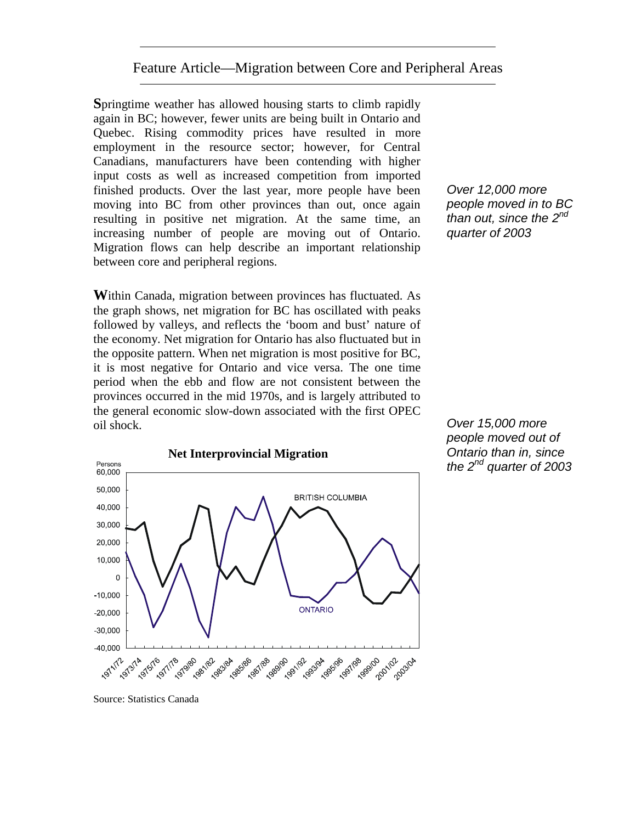## Feature Article—Migration between Core and Peripheral Areas

**S**pringtime weather has allowed housing starts to climb rapidly again in BC; however, fewer units are being built in Ontario and Quebec. Rising commodity prices have resulted in more employment in the resource sector; however, for Central Canadians, manufacturers have been contending with higher input costs as well as increased competition from imported finished products. Over the last year, more people have been moving into BC from other provinces than out, once again resulting in positive net migration. At the same time, an increasing number of people are moving out of Ontario. Migration flows can help describe an important relationship between core and peripheral regions.

**W**ithin Canada, migration between provinces has fluctuated. As the graph shows, net migration for BC has oscillated with peaks followed by valleys, and reflects the 'boom and bust' nature of the economy. Net migration for Ontario has also fluctuated but in the opposite pattern. When net migration is most positive for BC, it is most negative for Ontario and vice versa. The one time period when the ebb and flow are not consistent between the provinces occurred in the mid 1970s, and is largely attributed to the general economic slow-down associated with the first OPEC oil shock.

*Over 12,000 more people moved in to BC than out, since the 2nd quarter of 2003* 

*Over 15,000 more people moved out of Ontario than in, since the 2nd quarter of 2003*



Source: Statistics Canada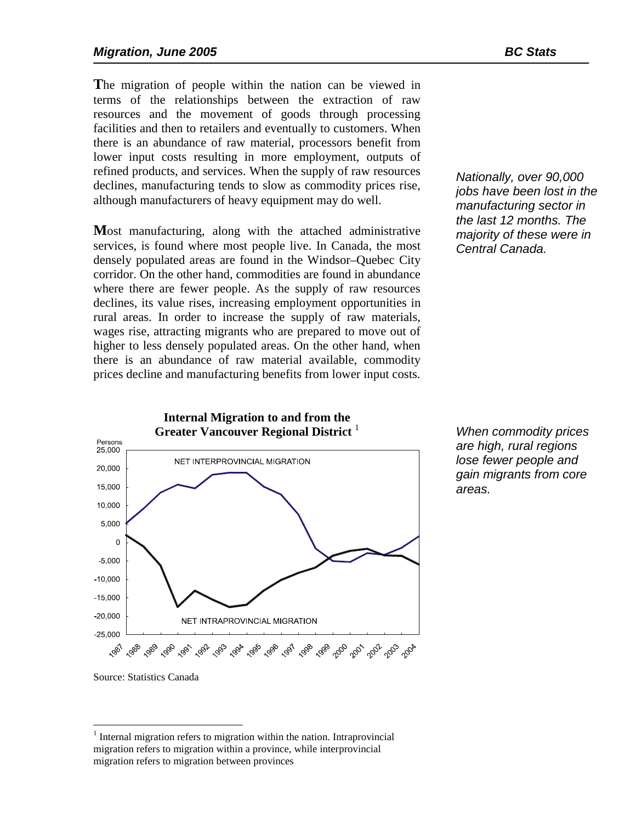**T**he migration of people within the nation can be viewed in terms of the relationships between the extraction of raw resources and the movement of goods through processing facilities and then to retailers and eventually to customers. When there is an abundance of raw material, processors benefit from lower input costs resulting in more employment, outputs of refined products, and services. When the supply of raw resources declines, manufacturing tends to slow as commodity prices rise, although manufacturers of heavy equipment may do well.

**M**ost manufacturing, along with the attached administrative services, is found where most people live. In Canada, the most densely populated areas are found in the Windsor–Quebec City corridor. On the other hand, commodities are found in abundance where there are fewer people. As the supply of raw resources declines, its value rises, increasing employment opportunities in rural areas. In order to increase the supply of raw materials, wages rise, attracting migrants who are prepared to move out of higher to less densely populated areas. On the other hand, when there is an abundance of raw material available, commodity prices decline and manufacturing benefits from lower input costs.

*Nationally, over 90,000 jobs have been lost in the manufacturing sector in the last 12 months. The majority of these were in Central Canada.* 

**Internal Migration to and from the Greater Vancouver Regional District** Persons 25,000 NET INTERPROVINCIAL MIGRATION 20,000 15,000 10,000 5,000  $\mathbf 0$  $-5.000$  $-10,000$  $-15,000$  $-20.000$ NET INTRAPROVINCIAL MIGRATION  $-25,000$ *ో*జ్ 'శ్రీ 'శ్రీ 'శ్రీ, 'శ్రీ, 'శ్రీ, 'శ్రీ, 'శ్రీ, 'శ్రీ, 'శ్రీ, 'శ్రీ, '<sup>4</sup>రీ, '<sup>4</sup>రీ, '<sup>4</sup>రీ, '<sup>4</sup>రీ, 'శ్రీ, 1987

*When commodity prices are high, rural regions lose fewer people and gain migrants from core areas.* 

 $\overline{a}$ 

Source: Statistics Canada

<sup>&</sup>lt;sup>1</sup> Internal migration refers to migration within the nation. Intraprovincial migration refers to migration within a province, while interprovincial migration refers to migration between provinces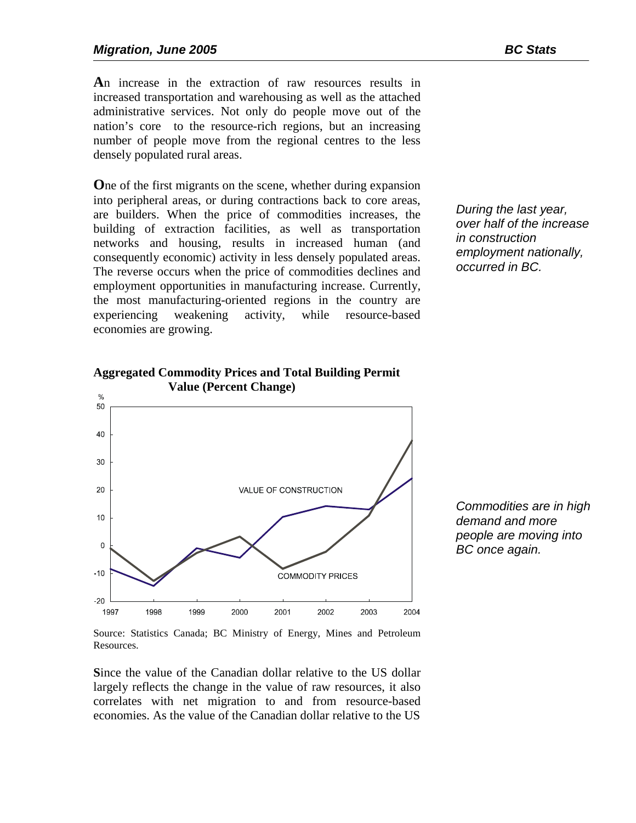**A**n increase in the extraction of raw resources results in increased transportation and warehousing as well as the attached administrative services. Not only do people move out of the nation's core to the resource-rich regions, but an increasing number of people move from the regional centres to the less densely populated rural areas.

**O**ne of the first migrants on the scene, whether during expansion into peripheral areas, or during contractions back to core areas, are builders. When the price of commodities increases, the building of extraction facilities, as well as transportation networks and housing, results in increased human (and consequently economic) activity in less densely populated areas. The reverse occurs when the price of commodities declines and employment opportunities in manufacturing increase. Currently, the most manufacturing-oriented regions in the country are experiencing weakening activity, while resource-based economies are growing.

**Aggregated Commodity Prices and Total Building Permit** 

*During the last year, over half of the increase in construction employment nationally, occurred in BC.* 



*Commodities are in high demand and more people are moving into BC once again.* 

Source: Statistics Canada; BC Ministry of Energy, Mines and Petroleum Resources.

**S**ince the value of the Canadian dollar relative to the US dollar largely reflects the change in the value of raw resources, it also correlates with net migration to and from resource-based economies. As the value of the Canadian dollar relative to the US